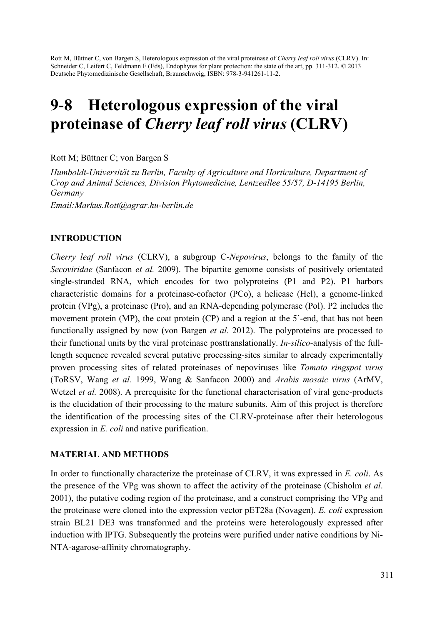Rott M, Büttner C, von Bargen S, Heterologous expression of the viral proteinase of *Cherry leaf roll virus* (CLRV). In: Schneider C, Leifert C, Feldmann F (Eds), Endophytes for plant protection: the state of the art, pp. 311-312. © 2013 Deutsche Phytomedizinische Gesellschaft, Braunschweig, ISBN: 978-3-941261-11-2.

# 9-8 Heterologous expression of the viral proteinase of *Cherry leaf roll virus* (CLRV)

Rott M; Büttner C; von Bargen S

*Humboldt-Universität zu Berlin, Faculty of Agriculture and Horticulture, Department of Crop and Animal Sciences, Division Phytomedicine, Lentzeallee 55/57, D-14195 Berlin, Germany* 

*Email:Markus.Rott@agrar.hu-berlin.de* 

## INTRODUCTION

*Cherry leaf roll virus* (CLRV), a subgroup C-*Nepovirus*, belongs to the family of the *Secoviridae* (Sanfacon *et al.* 2009). The bipartite genome consists of positively orientated single-stranded RNA, which encodes for two polyproteins (P1 and P2). P1 harbors characteristic domains for a proteinase-cofactor (PCo), a helicase (Hel), a genome-linked protein (VPg), a proteinase (Pro), and an RNA-depending polymerase (Pol). P2 includes the movement protein (MP), the coat protein (CP) and a region at the 5<sup>-</sup>-end, that has not been functionally assigned by now (von Bargen *et al.* 2012). The polyproteins are processed to their functional units by the viral proteinase posttranslationally. *In-silico*-analysis of the fulllength sequence revealed several putative processing-sites similar to already experimentally proven processing sites of related proteinases of nepoviruses like *Tomato ringspot virus* (ToRSV, Wang *et al.* 1999, Wang & Sanfacon 2000) and *Arabis mosaic virus* (ArMV, Wetzel *et al.* 2008). A prerequisite for the functional characterisation of viral gene-products is the elucidation of their processing to the mature subunits. Aim of this project is therefore the identification of the processing sites of the CLRV-proteinase after their heterologous expression in *E. coli* and native purification.

### MATERIAL AND METHODS

In order to functionally characterize the proteinase of CLRV, it was expressed in *E. coli*. As the presence of the VPg was shown to affect the activity of the proteinase (Chisholm *et al*. 2001), the putative coding region of the proteinase, and a construct comprising the VPg and the proteinase were cloned into the expression vector pET28a (Novagen). *E. coli* expression strain BL21 DE3 was transformed and the proteins were heterologously expressed after induction with IPTG. Subsequently the proteins were purified under native conditions by Ni-NTA-agarose-affinity chromatography.